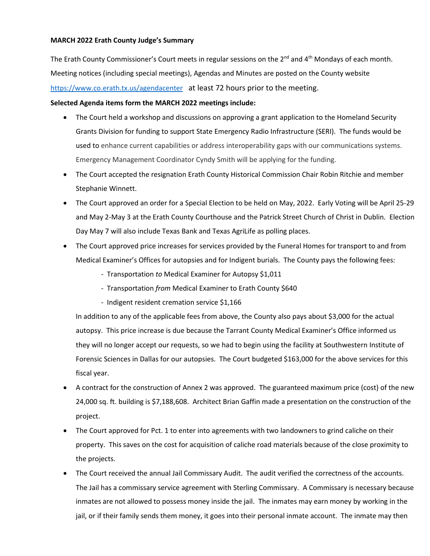## **MARCH 2022 Erath County Judge's Summary**

The Erath County Commissioner's Court meets in regular sessions on the  $2<sup>nd</sup>$  and  $4<sup>th</sup>$  Mondays of each month. Meeting notices (including special meetings), Agendas and Minutes are posted on the County website <https://www.co.erath.tx.us/agendacenter> at least 72 hours prior to the meeting.

## **Selected Agenda items form the MARCH 2022 meetings include:**

- The Court held a workshop and discussions on approving a grant application to the Homeland Security Grants Division for funding to support State Emergency Radio Infrastructure (SERI). The funds would be used to enhance current capabilities or address interoperability gaps with our communications systems. Emergency Management Coordinator Cyndy Smith will be applying for the funding.
- The Court accepted the resignation Erath County Historical Commission Chair Robin Ritchie and member Stephanie Winnett.
- The Court approved an order for a Special Election to be held on May, 2022. Early Voting will be April 25-29 and May 2-May 3 at the Erath County Courthouse and the Patrick Street Church of Christ in Dublin. Election Day May 7 will also include Texas Bank and Texas AgriLife as polling places.
- The Court approved price increases for services provided by the Funeral Homes for transport to and from Medical Examiner's Offices for autopsies and for Indigent burials. The County pays the following fees:
	- Transportation *to* Medical Examiner for Autopsy \$1,011
	- Transportation *from* Medical Examiner to Erath County \$640
	- Indigent resident cremation service \$1,166

In addition to any of the applicable fees from above, the County also pays about \$3,000 for the actual autopsy. This price increase is due because the Tarrant County Medical Examiner's Office informed us they will no longer accept our requests, so we had to begin using the facility at Southwestern Institute of Forensic Sciences in Dallas for our autopsies. The Court budgeted \$163,000 for the above services for this fiscal year.

- A contract for the construction of Annex 2 was approved. The guaranteed maximum price (cost) of the new 24,000 sq. ft. building is \$7,188,608. Architect Brian Gaffin made a presentation on the construction of the project.
- The Court approved for Pct. 1 to enter into agreements with two landowners to grind caliche on their property. This saves on the cost for acquisition of caliche road materials because of the close proximity to the projects.
- The Court received the annual Jail Commissary Audit. The audit verified the correctness of the accounts. The Jail has a commissary service agreement with Sterling Commissary. A Commissary is necessary because inmates are not allowed to possess money inside the jail. The inmates may earn money by working in the jail, or if their family sends them money, it goes into their personal inmate account. The inmate may then